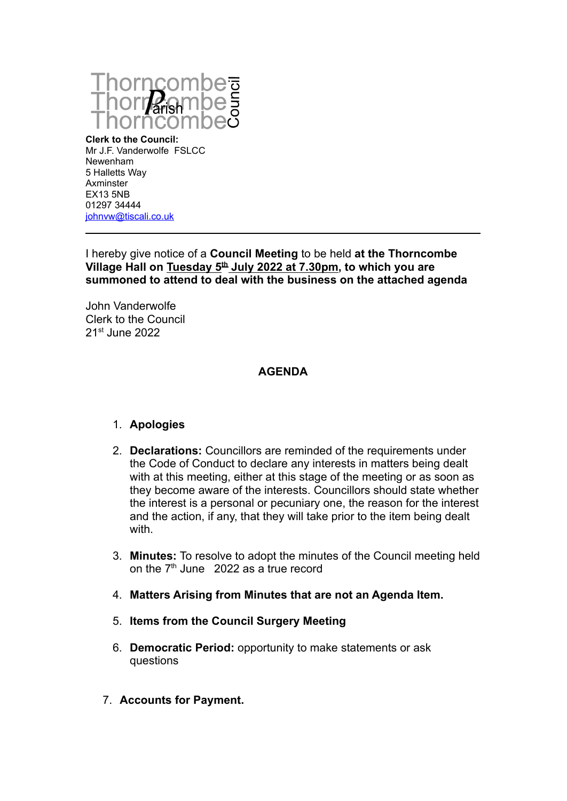

**Clerk to the Council:** Mr J.F. Vanderwolfe FSLCC Newenham 5 Halletts Way Axminster EX13 5NB 01297 34444 [johnvw@tiscali.co.uk](mailto:johnvw@tiscali.co.uk)

I hereby give notice of a **Council Meeting** to be held **at the Thorncombe Village Hall on Tuesday 5th July 2022 at 7.30pm, to which you are summoned to attend to deal with the business on the attached agenda**

John Vanderwolfe Clerk to the Council 21st June 2022

# **AGENDA**

### 1. **Apologies**

- 2. **Declarations:** Councillors are reminded of the requirements under the Code of Conduct to declare any interests in matters being dealt with at this meeting, either at this stage of the meeting or as soon as they become aware of the interests. Councillors should state whether the interest is a personal or pecuniary one, the reason for the interest and the action, if any, that they will take prior to the item being dealt with.
- 3. **Minutes:** To resolve to adopt the minutes of the Council meeting held on the  $7<sup>th</sup>$  June 2022 as a true record
- 4. **Matters Arising from Minutes that are not an Agenda Item.**
- 5. **Items from the Council Surgery Meeting**
- 6. **Democratic Period:** opportunity to make statements or ask questions
- 7. **Accounts for Payment.**